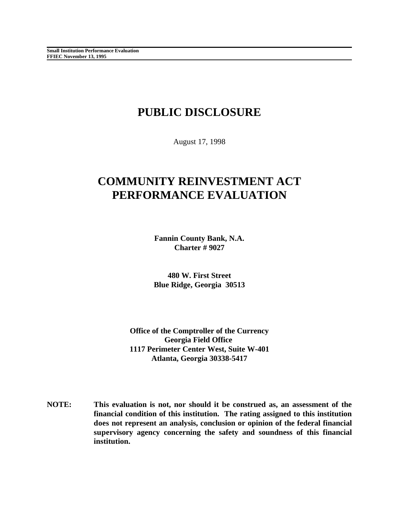# **PUBLIC DISCLOSURE**

August 17, 1998

# **COMMUNITY REINVESTMENT ACT PERFORMANCE EVALUATION**

**Fannin County Bank, N.A. Charter # 9027**

**480 W. First Street Blue Ridge, Georgia 30513**

**Office of the Comptroller of the Currency Georgia Field Office 1117 Perimeter Center West, Suite W-401 Atlanta, Georgia 30338-5417**

**NOTE: This evaluation is not, nor should it be construed as, an assessment of the financial condition of this institution. The rating assigned to this institution does not represent an analysis, conclusion or opinion of the federal financial supervisory agency concerning the safety and soundness of this financial institution.**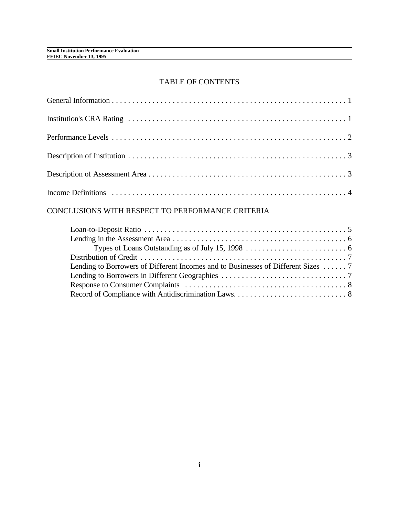## TABLE OF CONTENTS

# CONCLUSIONS WITH RESPECT TO PERFORMANCE CRITERIA

| Lending to Borrowers of Different Incomes and to Businesses of Different Sizes  7 |  |
|-----------------------------------------------------------------------------------|--|
|                                                                                   |  |
|                                                                                   |  |
|                                                                                   |  |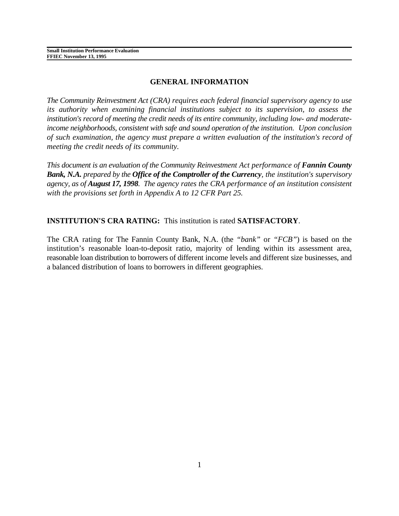## **GENERAL INFORMATION**

*The Community Reinvestment Act (CRA) requires each federal financial supervisory agency to use its authority when examining financial institutions subject to its supervision, to assess the institution's record of meeting the credit needs of its entire community, including low- and moderateincome neighborhoods, consistent with safe and sound operation of the institution. Upon conclusion of such examination, the agency must prepare a written evaluation of the institution's record of meeting the credit needs of its community.* 

*This document is an evaluation of the Community Reinvestment Act performance of Fannin County Bank, N.A. prepared by the Office of the Comptroller of the Currency, the institution's supervisory agency, as of August 17, 1998. The agency rates the CRA performance of an institution consistent with the provisions set forth in Appendix A to 12 CFR Part 25.* 

# **INSTITUTION'S CRA RATING:** This institution is rated **SATISFACTORY**.

The CRA rating for The Fannin County Bank, N.A. (the *"bank"* or *"FCB"*) is based on the institution's reasonable loan-to-deposit ratio, majority of lending within its assessment area, reasonable loan distribution to borrowers of different income levels and different size businesses, and a balanced distribution of loans to borrowers in different geographies.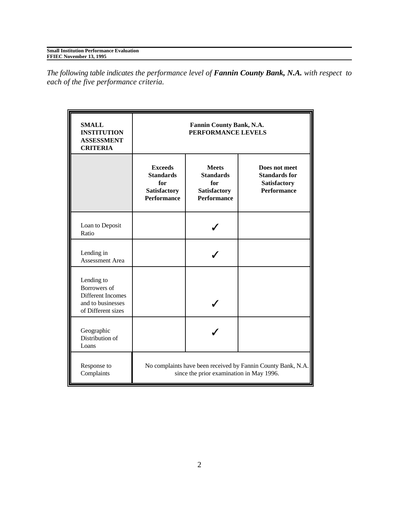| <b>Small Institution Performance Evaluation</b> |
|-------------------------------------------------|
| FFIEC November 13, 1995                         |

*The following table indicates the performance level of Fannin County Bank, N.A. with respect to each of the five performance criteria.*

| <b>SMALL</b><br><b>INSTITUTION</b><br><b>ASSESSMENT</b><br><b>CRITERIA</b>                 | Fannin County Bank, N.A.<br>PERFORMANCE LEVELS                                                           |                                                                                      |                                                                             |  |
|--------------------------------------------------------------------------------------------|----------------------------------------------------------------------------------------------------------|--------------------------------------------------------------------------------------|-----------------------------------------------------------------------------|--|
|                                                                                            | <b>Exceeds</b><br><b>Standards</b><br>for<br>Satisfactory<br><b>Performance</b>                          | <b>Meets</b><br><b>Standards</b><br>for<br><b>Satisfactory</b><br><b>Performance</b> | Does not meet<br><b>Standards for</b><br>Satisfactory<br><b>Performance</b> |  |
| Loan to Deposit<br>Ratio                                                                   |                                                                                                          |                                                                                      |                                                                             |  |
| Lending in<br>Assessment Area                                                              |                                                                                                          |                                                                                      |                                                                             |  |
| Lending to<br>Borrowers of<br>Different Incomes<br>and to businesses<br>of Different sizes |                                                                                                          |                                                                                      |                                                                             |  |
| Geographic<br>Distribution of<br>Loans                                                     |                                                                                                          |                                                                                      |                                                                             |  |
| Response to<br>Complaints                                                                  | No complaints have been received by Fannin County Bank, N.A.<br>since the prior examination in May 1996. |                                                                                      |                                                                             |  |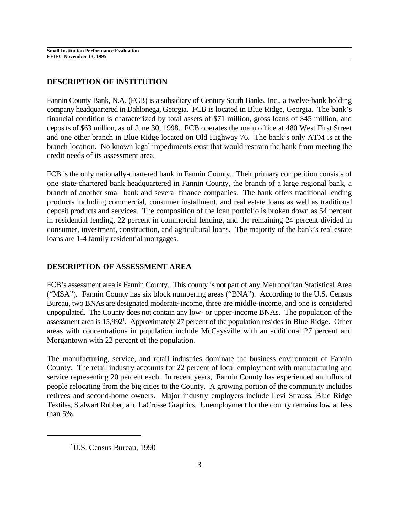## **DESCRIPTION OF INSTITUTION**

Fannin County Bank, N.A. (FCB) is a subsidiary of Century South Banks, Inc., a twelve-bank holding company headquartered in Dahlonega, Georgia. FCB is located in Blue Ridge, Georgia. The bank's financial condition is characterized by total assets of \$71 million, gross loans of \$45 million, and deposits of \$63 million, as of June 30, 1998. FCB operates the main office at 480 West First Street and one other branch in Blue Ridge located on Old Highway 76. The bank's only ATM is at the branch location. No known legal impediments exist that would restrain the bank from meeting the credit needs of its assessment area.

FCB is the only nationally-chartered bank in Fannin County. Their primary competition consists of one state-chartered bank headquartered in Fannin County, the branch of a large regional bank, a branch of another small bank and several finance companies. The bank offers traditional lending products including commercial, consumer installment, and real estate loans as well as traditional deposit products and services. The composition of the loan portfolio is broken down as 54 percent in residential lending, 22 percent in commercial lending, and the remaining 24 percent divided in consumer, investment, construction, and agricultural loans. The majority of the bank's real estate loans are 1-4 family residential mortgages.

## **DESCRIPTION OF ASSESSMENT AREA**

FCB's assessment area is Fannin County. This county is not part of any Metropolitan Statistical Area ("MSA"). Fannin County has six block numbering areas ("BNA"). According to the U.S. Census Bureau, two BNAs are designated moderate-income, three are middle-income, and one is considered unpopulated. The County does not contain any low- or upper-income BNAs. The population of the assessment area is 15,992<sup>1</sup>. Approximately 27 percent of the population resides in Blue Ridge. Other areas with concentrations in population include McCaysville with an additional 27 percent and Morgantown with 22 percent of the population.

The manufacturing, service, and retail industries dominate the business environment of Fannin County. The retail industry accounts for 22 percent of local employment with manufacturing and service representing 20 percent each. In recent years, Fannin County has experienced an influx of people relocating from the big cities to the County. A growing portion of the community includes retirees and second-home owners. Major industry employers include Levi Strauss, Blue Ridge Textiles, Stalwart Rubber, and LaCrosse Graphics. Unemployment for the county remains low at less than 5%.

<sup>&</sup>lt;sup>1</sup>U.S. Census Bureau, 1990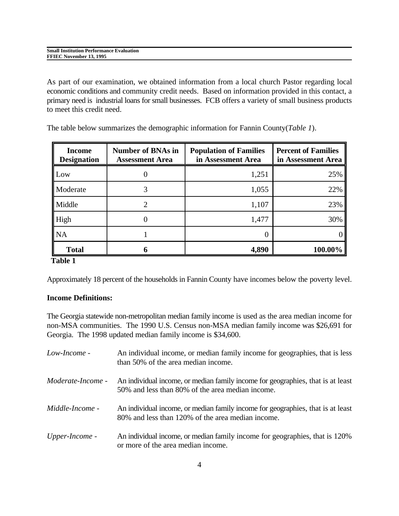| <b>Small</b><br>Performance.<br>Institution<br>Evaluation |  |
|-----------------------------------------------------------|--|
| 1995<br><b>FFIEC</b> N<br>November                        |  |

As part of our examination, we obtained information from a local church Pastor regarding local economic conditions and community credit needs. Based on information provided in this contact, a primary need is industrial loans for small businesses. FCB offers a variety of small business products to meet this credit need.

The table below summarizes the demographic information for Fannin County(*Table 1*).

| <b>Income</b><br><b>Designation</b> | <b>Number of BNAs in</b><br><b>Assessment Area</b> | <b>Population of Families</b><br>in Assessment Area | <b>Percent of Families</b><br>in Assessment Area |
|-------------------------------------|----------------------------------------------------|-----------------------------------------------------|--------------------------------------------------|
| Low                                 |                                                    | 1,251                                               | 25%                                              |
| Moderate                            |                                                    | 1,055                                               | 22%                                              |
| Middle                              |                                                    | 1,107                                               | 23%                                              |
| High                                |                                                    | 1,477                                               | 30%                                              |
| <b>NA</b>                           |                                                    |                                                     |                                                  |
| <b>Total</b>                        |                                                    | 4,890                                               | 100.00%                                          |

## **Table 1**

Approximately 18 percent of the households in Fannin County have incomes below the poverty level.

### **Income Definitions:**

The Georgia statewide non-metropolitan median family income is used as the area median income for non-MSA communities. The 1990 U.S. Census non-MSA median family income was \$26,691 for Georgia. The 1998 updated median family income is \$34,600.

| Low-Income -             | An individual income, or median family income for geographies, that is less<br>than 50% of the area median income.                   |
|--------------------------|--------------------------------------------------------------------------------------------------------------------------------------|
| <i>Moderate-Income -</i> | An individual income, or median family income for geographies, that is at least<br>50% and less than 80% of the area median income.  |
| <i>Middle-Income -</i>   | An individual income, or median family income for geographies, that is at least<br>80% and less than 120% of the area median income. |
| Upper-Income -           | An individual income, or median family income for geographies, that is 120%<br>or more of the area median income.                    |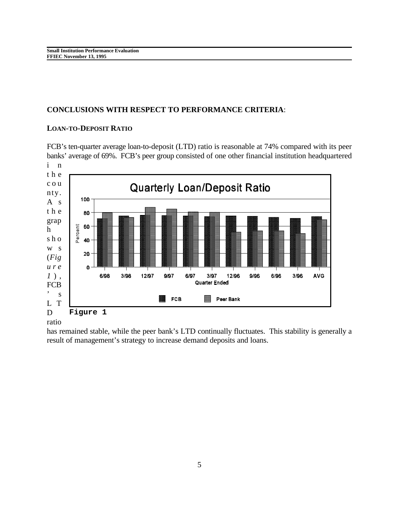## **CONCLUSIONS WITH RESPECT TO PERFORMANCE CRITERIA**:

#### **LOAN-TO-DEPOSIT RATIO**

FCB's ten-quarter average loan-to-deposit (LTD) ratio is reasonable at 74% compared with its peer banks' average of 69%. FCB's peer group consisted of one other financial institution headquartered i n



#### ratio

has remained stable, while the peer bank's LTD continually fluctuates. This stability is generally a result of management's strategy to increase demand deposits and loans.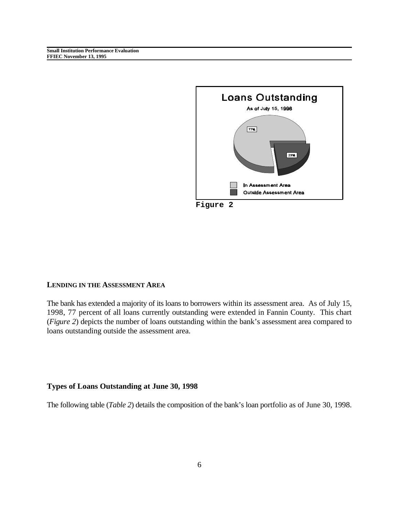**Small Institution Performance Evaluation FFIEC November 13, 1995**



#### **LENDING IN THE ASSESSMENT AREA**

The bank has extended a majority of its loans to borrowers within its assessment area. As of July 15, 1998, 77 percent of all loans currently outstanding were extended in Fannin County. This chart (*Figure 2*) depicts the number of loans outstanding within the bank's assessment area compared to loans outstanding outside the assessment area.

#### **Types of Loans Outstanding at June 30, 1998**

The following table (*Table 2*) details the composition of the bank's loan portfolio as of June 30, 1998.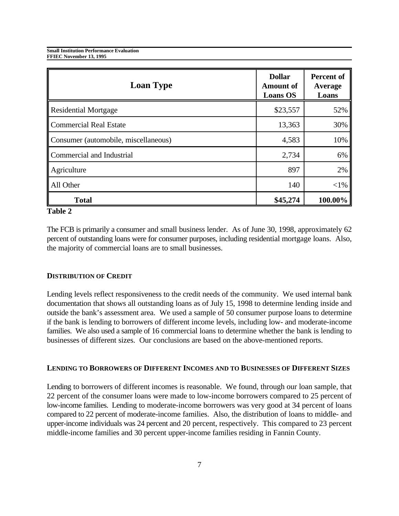**Small Institution Performance Evaluation FFIEC November 13, 1995**

| <b>Loan Type</b>                     | <b>Dollar</b><br><b>Amount of</b><br><b>Loans OS</b> | <b>Percent of</b><br>Average<br>Loans |
|--------------------------------------|------------------------------------------------------|---------------------------------------|
| <b>Residential Mortgage</b>          | \$23,557                                             | 52%                                   |
| <b>Commercial Real Estate</b>        | 13,363                                               | 30%                                   |
| Consumer (automobile, miscellaneous) | 4,583                                                | 10%                                   |
| Commercial and Industrial            | 2,734                                                | 6%                                    |
| Agriculture                          | 897                                                  | 2%                                    |
| All Other                            | 140                                                  | $<$ 1%                                |
| <b>Total</b>                         | \$45,274                                             | 100.00%                               |

### **Table 2**

The FCB is primarily a consumer and small business lender. As of June 30, 1998, approximately 62 percent of outstanding loans were for consumer purposes, including residential mortgage loans. Also, the majority of commercial loans are to small businesses.

#### **DISTRIBUTION OF CREDIT**

Lending levels reflect responsiveness to the credit needs of the community. We used internal bank documentation that shows all outstanding loans as of July 15, 1998 to determine lending inside and outside the bank's assessment area. We used a sample of 50 consumer purpose loans to determine if the bank is lending to borrowers of different income levels, including low- and moderate-income families. We also used a sample of 16 commercial loans to determine whether the bank is lending to businesses of different sizes. Our conclusions are based on the above-mentioned reports.

#### **LENDING TO BORROWERS OF DIFFERENT INCOMES AND TO BUSINESSES OF DIFFERENT SIZES**

Lending to borrowers of different incomes is reasonable. We found, through our loan sample, that 22 percent of the consumer loans were made to low-income borrowers compared to 25 percent of low-income families. Lending to moderate-income borrowers was very good at 34 percent of loans compared to 22 percent of moderate-income families. Also, the distribution of loans to middle- and upper-income individuals was 24 percent and 20 percent, respectively. This compared to 23 percent middle-income families and 30 percent upper-income families residing in Fannin County.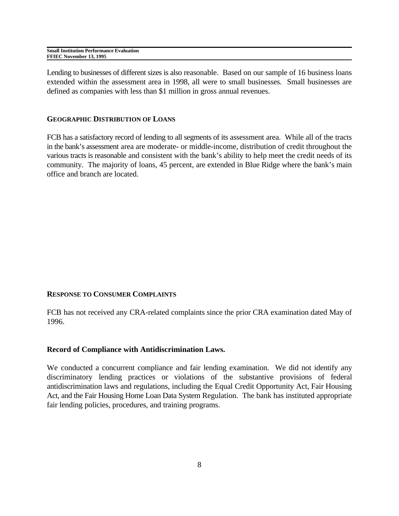| <b>Small Institution Performance Evaluation</b> |  |
|-------------------------------------------------|--|
| FFIEC November 13, 1995                         |  |

Lending to businesses of different sizes is also reasonable. Based on our sample of 16 business loans extended within the assessment area in 1998, all were to small businesses. Small businesses are defined as companies with less than \$1 million in gross annual revenues.

#### **GEOGRAPHIC DISTRIBUTION OF LOANS**

FCB has a satisfactory record of lending to all segments of its assessment area. While all of the tracts in the bank's assessment area are moderate- or middle-income, distribution of credit throughout the various tracts is reasonable and consistent with the bank's ability to help meet the credit needs of its community. The majority of loans, 45 percent, are extended in Blue Ridge where the bank's main office and branch are located.

#### **RESPONSE TO CONSUMER COMPLAINTS**

FCB has not received any CRA-related complaints since the prior CRA examination dated May of 1996.

#### **Record of Compliance with Antidiscrimination Laws.**

We conducted a concurrent compliance and fair lending examination. We did not identify any discriminatory lending practices or violations of the substantive provisions of federal antidiscrimination laws and regulations, including the Equal Credit Opportunity Act, Fair Housing Act, and the Fair Housing Home Loan Data System Regulation. The bank has instituted appropriate fair lending policies, procedures, and training programs.